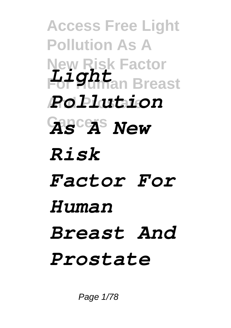**Access Free Light Pollution As A New Risk Factor For Human Breast** *Light* **And Prostate** *Pollution* **Cancers** *As A New Risk Factor For Human Breast And Prostate*

Page 1/78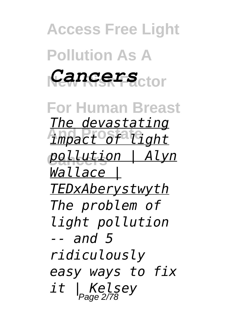**Access Free Light Pollution As A New Risk Factor** *Cancers* **For Human Breast And Prostate** *impact of light* **Cancers** *pollution | Alyn The devastating Wallace | TEDxAberystwyth The problem of*

*light pollution -- and 5 ridiculously easy ways to fix it | Kelsey* Page 2/78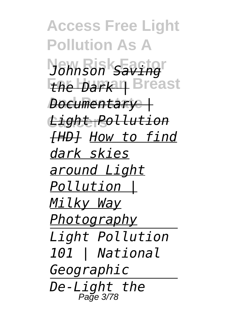**Access Free Light Pollution As A New Risk Factor** *Johnson Saving* **For Human Breast** *the Dark |* **And Prostate** *Documentary |* **Cancers** *Light Pollution [HD] How to find dark skies around Light Pollution | Milky Way Photography Light Pollution 101 | National Geographic De-Light the* Page 3/78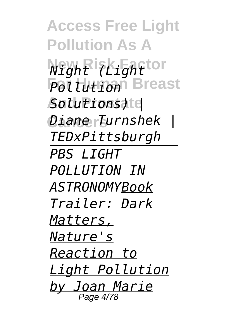**Access Free Light Pollution As A New Risk Factor** *Night (Light Pollution* Breast **And Prostate** *Solutions) |* **Cancers** *Diane Turnshek | TEDxPittsburgh PBS LIGHT POLLUTION IN ASTRONOMYBook Trailer: Dark Matters, Nature's Reaction to Light Pollution by Joan Marie* Page 4/78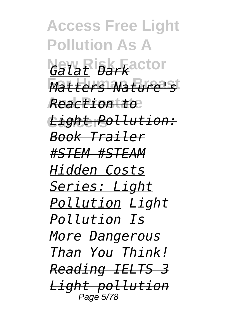**Access Free Light Pollution As A New Risk Factor** *Galat Dark* **For Human Breast** *Matters-Nature's* **And Prostate** *Reaction to* **Cancers** *Light Pollution: Book Trailer #STEM #STEAM Hidden Costs Series: Light Pollution Light Pollution Is More Dangerous Than You Think! Reading IELTS 3 Light pollution* Page 5/78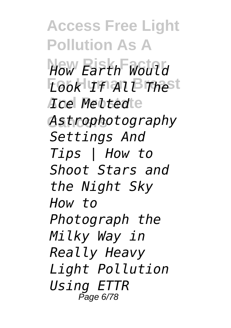**Access Free Light Pollution As A New Risk Factor** *How Earth Would* **For Human Breast** *Look If All The* **And Prostate** *Ice Melted* **Cancers** *Astrophotography Settings And Tips | How to Shoot Stars and the Night Sky How to Photograph the Milky Way in Really Heavy Light Pollution Using ETTR* Page 6/78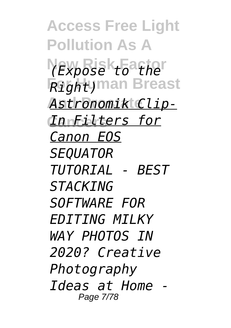**Access Free Light Pollution As A New Risk Factor** *(Expose to the* **For Human Breast** *Right)* Astronomik Clip-**Cancers** *In Filters for Canon EOS SEQUATOR TUTORIAL - BEST STACKING SOFTWARE FOR EDITING MILKY WAY PHOTOS IN 2020? Creative Photography Ideas at Home -* Page 7/78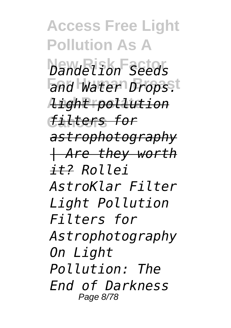**Access Free Light Pollution As A New Risk Factor** *Dandelion Seeds* and Water Drops.t **And Prostate** *light pollution* **Cancers** *filters for astrophotography | Are they worth it? Rollei AstroKlar Filter Light Pollution Filters for Astrophotography On Light Pollution: The End of Darkness* Page 8/78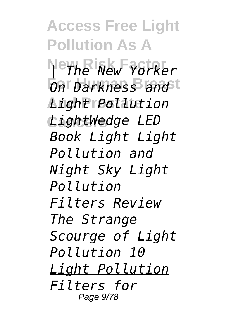**Access Free Light Pollution As A New Risk Factor** *| The New Yorker*  $\overline{O}$ n Darkness and t **And Prostate** *Light Pollution* **Cancers** *LightWedge LED Book Light Light Pollution and Night Sky Light Pollution Filters Review The Strange Scourge of Light Pollution 10 Light Pollution Filters for* Page 9/78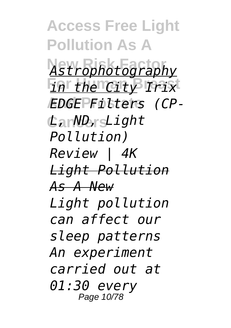**Access Free Light Pollution As A New Risk Factor** *Astrophotography* **For Human Breast** *in the City Irix* **And Prostate** *EDGE Filters (CP-***Cancers** *L, ND, Light Pollution) Review | 4K Light Pollution As A New Light pollution can affect our sleep patterns An experiment carried out at 01:30 every* Page 10/78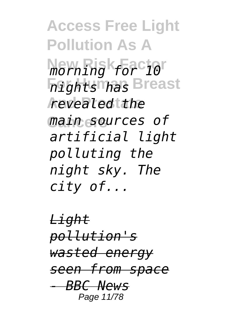**Access Free Light Pollution As A New Risk Factor** *morning for 10* **For Human Breast** *nights has* **And Prostate** *revealed the* **Cancers** *main sources of artificial light polluting the night sky. The city of...*

*Light pollution's wasted energy seen from space - BBC News* Page 11/78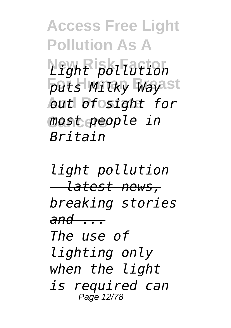**Access Free Light Pollution As A New Risk Factor** *Light pollution*  $puts$  *Milky Way*ast **And Prostate** *out of sight for* **Cancers** *most people in Britain*

*light pollution - latest news, breaking stories and ... The use of lighting only when the light is required can* Page 12/78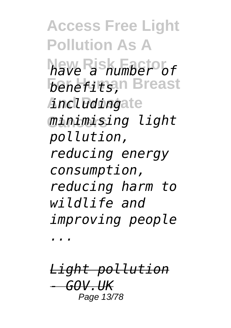**Access Free Light Pollution As A New Risk Factor** *have a number of benefits*, Breast **And Prostate** *including* **Cancers** *minimising light pollution, reducing energy consumption, reducing harm to wildlife and improving people*

*...*

*Light pollution - GOV.UK* Page 13/78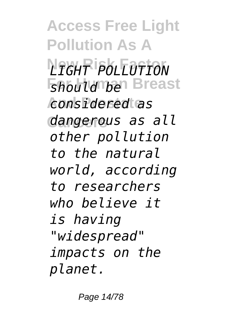**Access Free Light Pollution As A New Risk Factor** *LIGHT POLLUTION Should be Breast* **And Prostate** *considered as* **Cancers** *dangerous as all other pollution to the natural world, according to researchers who believe it is having "widespread" impacts on the planet.*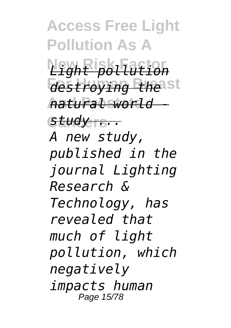**Access Free Light Pollution As A New Risk Factor** *Light pollution destroying the* st **And Prostate** *natural world -* **Cancers** *study ... A new study, published in the journal Lighting Research & Technology, has revealed that much of light pollution, which negatively impacts human* Page 15/78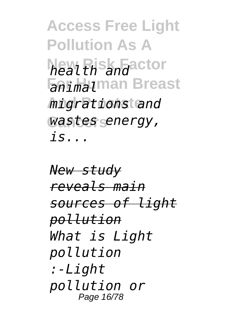**Access Free Light Pollution As A New Risk Factor** *health and* **For Human Breast** *animal* **And Prostate** *migrations and* **Cancers** *wastes energy, is...*

*New study reveals main sources of light pollution What is Light pollution :-Light pollution or* Page 16/78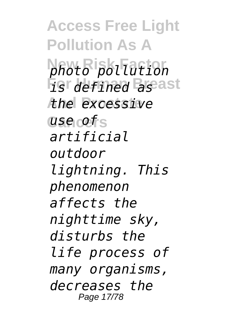**Access Free Light Pollution As A New Risk Factor** *photo pollution* **For Human Breast** *is defined as* **And Prostate** *the excessive* **Cancers** *use of artificial outdoor lightning. This phenomenon affects the nighttime sky, disturbs the life process of many organisms, decreases the* Page 17/78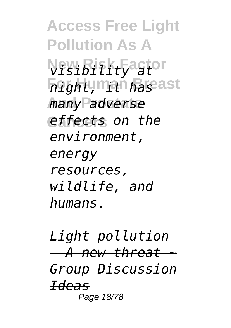**Access Free Light Pollution As A New Risk Factor** *visibility at* **For Human Breast** *night, it has* **And Prostate** *many adverse* **Cancers** *effects on the environment, energy resources, wildlife, and humans.*

*Light pollution - A new threat ~ Group Discussion Ideas* Page 18/78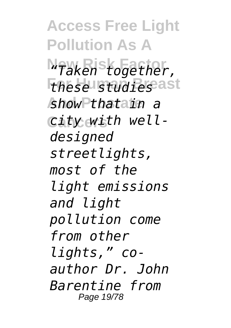**Access Free Light Pollution As A New Risk Factor** *"Taken together,* **For Human Breast** *these studies* **And Prostate** *show that in a* City with well*designed streetlights, most of the light emissions and light pollution come from other lights," coauthor Dr. John Barentine from* Page 19/78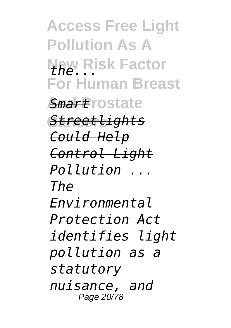**Access Free Light Pollution As A New Risk Factor** *the...* **For Human Breast And Prostate** *Smart* **Cancers** *Streetlights Could Help Control Light Pollution ... The Environmental Protection Act identifies light pollution as a statutory nuisance, and* Page 20/78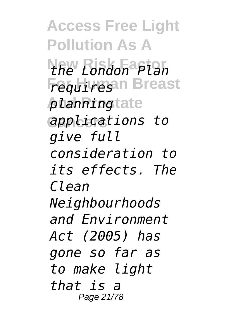**Access Free Light Pollution As A New Risk Factor** *the London Plan* **Frequires**an Breast *planningtate* **Cancers** *applications to give full consideration to its effects. The Clean Neighbourhoods and Environment Act (2005) has gone so far as to make light that is a* Page 21/78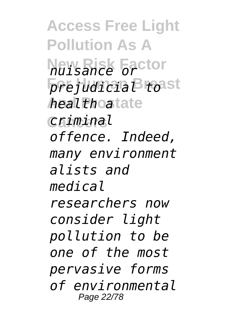**Access Free Light Pollution As A New Risk Factor** *nuisance or*  $p$ *rejudicia* Broast *healthoatate* **Cancers** *criminal offence. Indeed, many environment alists and medical researchers now consider light pollution to be one of the most pervasive forms of environmental* Page 22/78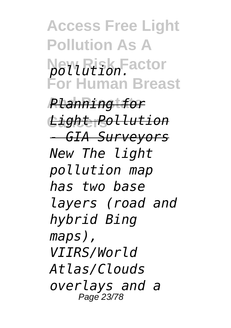**Access Free Light Pollution As A New Risk Factor** *pollution.* **For Human Breast**

**And Prostate** *Planning for* **Cancers** *Light Pollution - GIA Surveyors New The light pollution map has two base layers (road and hybrid Bing maps), VIIRS/World Atlas/Clouds overlays and a* Page 23/78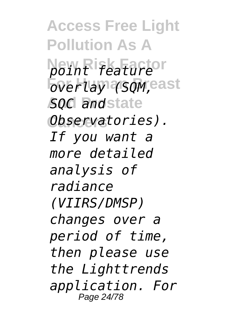**Access Free Light Pollution As A New Risk Factor** *point feature*  $\overline{b}$ verlay (SQM, east **And Prostate** *SQC and* **Cancers** *Observatories). If you want a more detailed analysis of radiance (VIIRS/DMSP) changes over a period of time, then please use the Lighttrends application. For* Page 24/78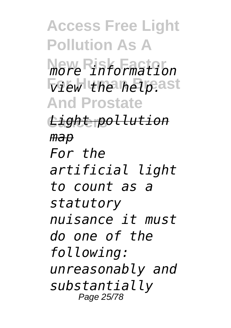**Access Free Light Pollution As A New Risk Factor** *more information*  $\sqrt{v}$ ew the help.ast **And Prostate Cancers** *Light pollution map For the artificial light to count as a statutory nuisance it must do one of the following: unreasonably and substantially* Page 25/78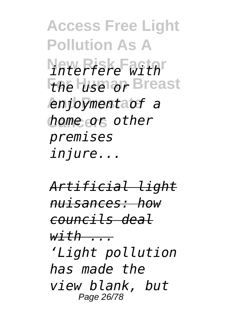**Access Free Light Pollution As A New Risk Factor** *interfere with the luse or Breast* **And Prostate** *enjoyment of a* **Cancers** *home or other premises injure...*

*Artificial light nuisances: how councils deal with ... 'Light pollution has made the view blank, but* Page 26/78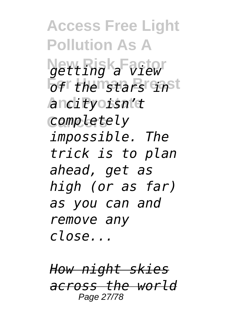**Access Free Light Pollution As A New Risk Factor** *getting a view*  $\overline{p}$ *fr* the nstars inst **And Prostate** *a city isn't* **Cancers** *completely impossible. The trick is to plan ahead, get as high (or as far) as you can and remove any close...*

*How night skies across the world* Page 27/78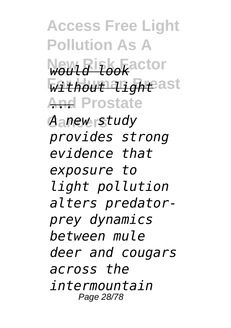**Access Free Light Pollution As A New Risk Factor** *would look Without light***east And Prostate** *...* **Cancers** *A new study provides strong evidence that exposure to light pollution alters predatorprey dynamics between mule deer and cougars across the intermountain* Page 28/78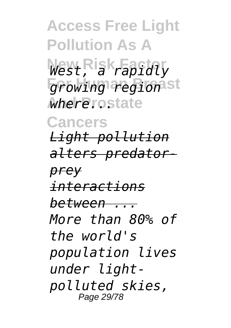**Access Free Light Pollution As A New Risk Factor** *West, a rapidly* growing regionst **And Prostate** *where...* **Cancers** *Light pollution alters predatorprey interactions between ... More than 80% of the world's population lives under lightpolluted skies,* Page 29/78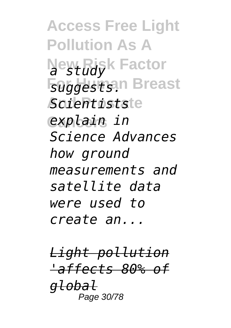**Access Free Light Pollution As A** New Risk Factor **Foggestsan Breast And Prostate** *Scientists* **Cancers** *explain in Science Advances how ground measurements and satellite data were used to create an...*

*Light pollution 'affects 80% of global* Page 30/78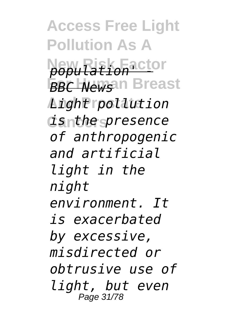**Access Free Light Pollution As A New Risk Factor** *population' -* **For Human Breast** *BBC News* **And Prostate** *Light pollution* **Cancers** *is the presence of anthropogenic and artificial light in the night environment. It is exacerbated by excessive, misdirected or obtrusive use of light, but even* Page 31/78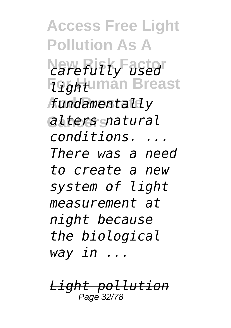**Access Free Light Pollution As A** *<u>Rarefully used</u>* **Foghtuman Breast And Prostate** *fundamentally* **Cancers** *alters natural conditions. ... There was a need to create a new system of light measurement at night because the biological way in ...*

*Light pollution* Page 32/78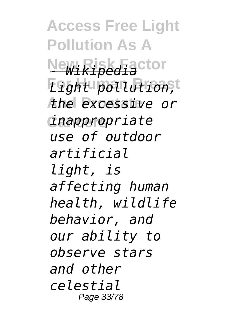**Access Free Light Pollution As A** New Risk Factor **For Human Breast** *Light pollution,* **And Prostate** *the excessive or* **Cancers** *inappropriate use of outdoor artificial light, is affecting human health, wildlife behavior, and our ability to observe stars and other celestial* Page 33/78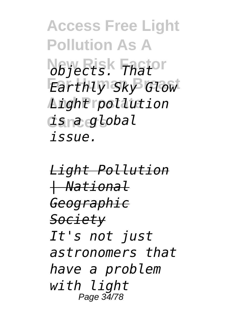**Access Free Light Pollution As A New Risk Factor** *objects. That* **For Human Breast** *Earthly Sky Glow* **And Prostate** *Light pollution* **Cancers** *is a global issue.*

*Light Pollution | National Geographic Society It's not just astronomers that have a problem with light* Page 34/78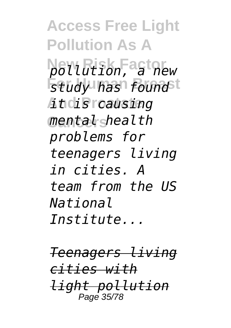**Access Free Light Pollution As A New Risk Factor** *pollution, a new study has found* **And Prostate** *it is causing* **Cancers** *mental health problems for teenagers living in cities. A team from the US National Institute...*

*Teenagers living cities with light pollution* Page 35/78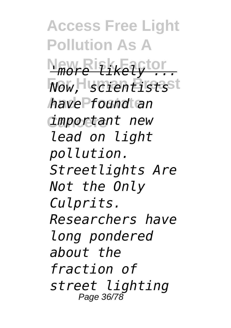**Access Free Light Pollution As A New Risk Factor** *'more likely ...* **For Human Breast** *Now, scientists* **And Prostate** *have found an* **Cancers** *important new lead on light pollution. Streetlights Are Not the Only Culprits. Researchers have long pondered about the fraction of street lighting* Page 36/78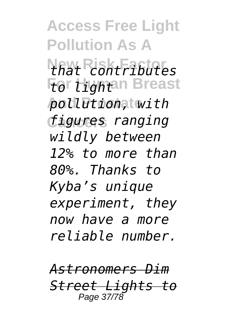**Access Free Light Pollution As A New Risk Factor** *that contributes* **For Hightan Breast And Prostate** *pollution, with* **Cancers** *figures ranging wildly between 12% to more than 80%. Thanks to Kyba's unique experiment, they now have a more reliable number.*

*Astronomers Dim Street Lights to* Page 37/78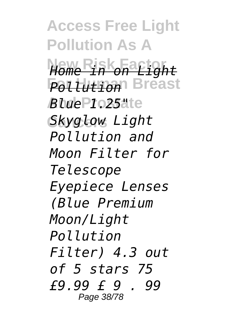**Access Free Light Pollution As A New Risk Factor** *Home in on Light* **For Human Breast** *Pollution* **And Prostate** *Blue 1.25"* **Cancers** *Skyglow Light Pollution and Moon Filter for Telescope Eyepiece Lenses (Blue Premium Moon/Light Pollution Filter) 4.3 out of 5 stars 75 £9.99 £ 9 . 99* Page 38/78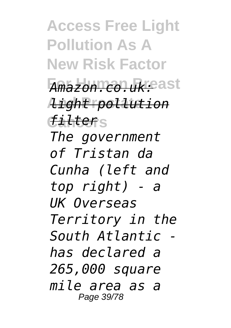**Access Free Light Pollution As A New Risk Factor For Human Breast** *Amazon.co.uk:* **And Prostate** *light pollution* **Cancers** *filter The government of Tristan da Cunha (left and top right) - a UK Overseas Territory in the South Atlantic has declared a 265,000 square mile area as a* Page 39/78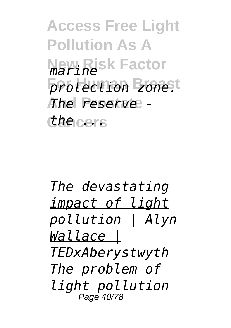**Access Free Light Pollution As A New Risk Factor** *marine protection zone.t* **And Prostate** *The reserve -* **Cancers** *the ...*

*The devastating impact of light pollution | Alyn Wallace | TEDxAberystwyth The problem of light pollution* Page 40/78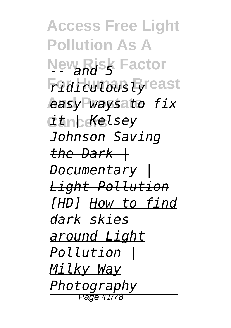**Access Free Light Pollution As A New Risk Factor** *Fidiculous Eyreast* **And Prostate** *easy ways to fix* **Cancers** *it | Kelsey Johnson Saving the Dark | Documentary | Light Pollution [HD] How to find dark skies around Light Pollution | Milky Way Photography* Page 41/78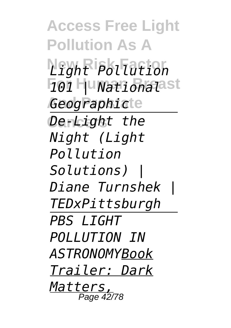**Access Free Light Pollution As A New Risk Factor** *Light Pollution* **For Human Breast** *101 | National* **And Prostate** *Geographic* **Cancers** *De-Light the Night (Light Pollution Solutions) | Diane Turnshek | TEDxPittsburgh PBS LIGHT POLLUTION IN ASTRONOMYBook Trailer: Dark Matters,* Page 42/78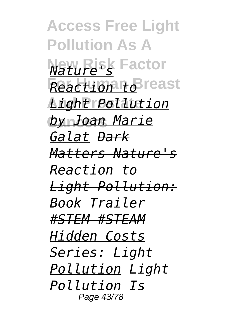**Access Free Light Pollution As A New Risk Factor** *Nature's* **For Human Breast** *Reaction to* **And Prostate** *Light Pollution* <u> *by Joan Marie*</u> *Galat Dark Matters-Nature's Reaction to Light Pollution: Book Trailer #STEM #STEAM Hidden Costs Series: Light Pollution Light Pollution Is* Page 43/78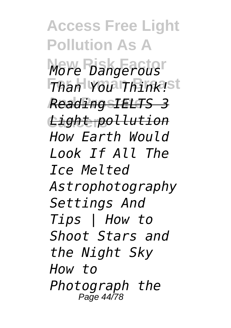**Access Free Light Pollution As A New Risk Factor** *More Dangerous Than You Think!st* **And Prostate** *Reading IELTS 3* **Cancers** *Light pollution How Earth Would Look If All The Ice Melted Astrophotography Settings And Tips | How to Shoot Stars and the Night Sky How to Photograph the* Page 44/78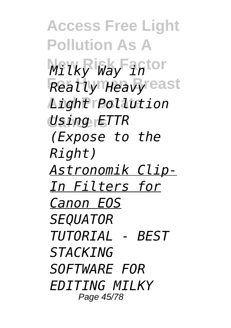**Access Free Light Pollution As A Milky Way inton For Human Breast** *Really Heavy* **And Prostate** *Light Pollution* **Cancers** *Using ETTR (Expose to the Right) Astronomik Clip-In Filters for Canon EOS SEQUATOR TUTORIAL - BEST STACKING SOFTWARE FOR EDITING MILKY* Page 45/78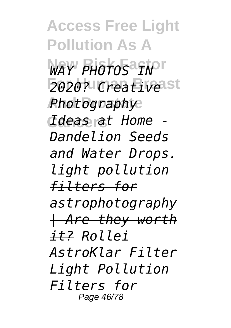**Access Free Light Pollution As A** WAY PHOTOS<sup>a</sup>IN<sup>T</sup> **For Human Breast** *2020? Creative* **And Prostate** *Photography* **Cancers** *Ideas at Home - Dandelion Seeds and Water Drops. light pollution filters for astrophotography | Are they worth it? Rollei AstroKlar Filter Light Pollution Filters for* Page 46/78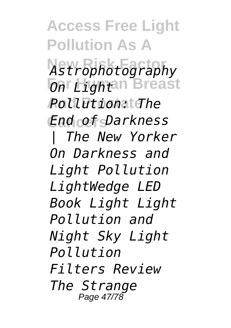**Access Free Light Pollution As A New Risk Factor** *Astrophotography For Lightan Breast* **And Prostate** *Pollution: The* **Cancers** *End of Darkness | The New Yorker On Darkness and Light Pollution LightWedge LED Book Light Light Pollution and Night Sky Light Pollution Filters Review The Strange* Page 47/78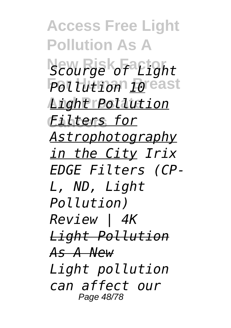**Access Free Light Pollution As A New Risk Factor** *Scourge of Light* **For Human Breast** *Pollution 10* **And Prostate** *Light Pollution* **Cancers** *Filters for Astrophotography in the City Irix EDGE Filters (CP-L, ND, Light Pollution) Review | 4K Light Pollution As A New Light pollution can affect our* Page 48/78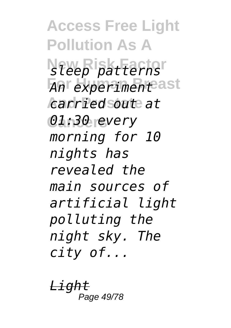**Access Free Light Pollution As A New Risk Factor** *sleep patterns* **For Human Breast** *An experiment* **And Prostate** *carried out at* **Cancers** *01:30 every morning for 10 nights has revealed the main sources of artificial light polluting the night sky. The city of...*

<u>Ligh</u> Page 49/78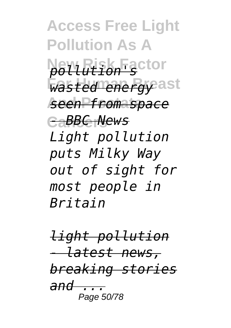**Access Free Light Pollution As A New Risk Factor** *pollution's* **Wasted energy** ast **And Prostate** *seen from space* **Cancers** *- BBC News Light pollution puts Milky Way out of sight for most people in Britain*

*light pollution - latest news, breaking stories and ...* Page 50/78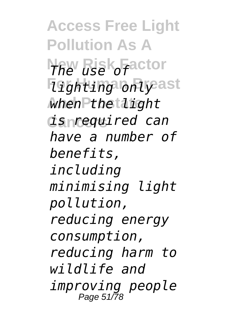**Access Free Light Pollution As A New Risk Factor** *The use of* **For Human Breast** *lighting only* **And Prostate** *when the light* **Cancers** *is required can have a number of benefits, including minimising light pollution, reducing energy consumption, reducing harm to wildlife and improving people* Page 51/78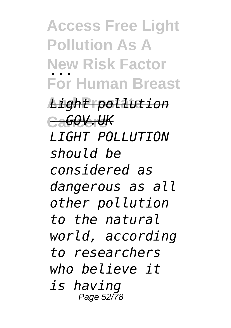**Access Free Light Pollution As A New Risk Factor** *...* **For Human Breast**

**And Prostate** *Light pollution* **Cancers** *- GOV.UK LIGHT POLLUTION should be considered as dangerous as all other pollution to the natural world, according to researchers who believe it is having* Page 52/78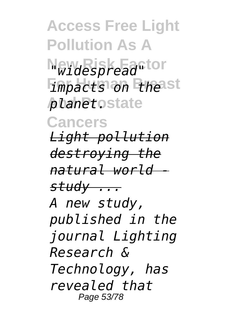**Access Free Light Pollution As A New Risk Factor** *"widespread" Impacts on thest*  $$ **Cancers** *Light pollution destroying the natural world study ... A new study, published in the journal Lighting Research & Technology, has revealed that* Page 53/78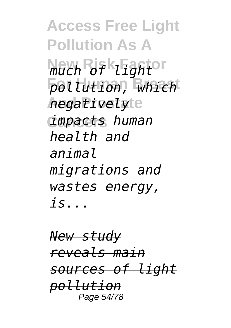**Access Free Light Pollution As A New Risk Factor** *much of light* **For Human Breast** *pollution, which* **And Prostate** *negatively* **Cancers** *impacts human health and animal migrations and wastes energy, is...*

*New study reveals main sources of light pollution* Page 54/78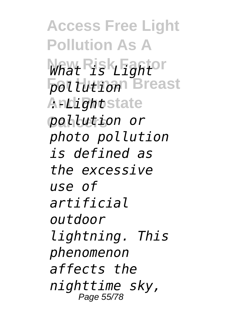**Access Free Light Pollution As A** What Risk Fantor *pollution* Breast **Andightstate Cancers** *pollution or photo pollution is defined as the excessive use of artificial outdoor lightning. This phenomenon affects the nighttime sky,* Page 55/78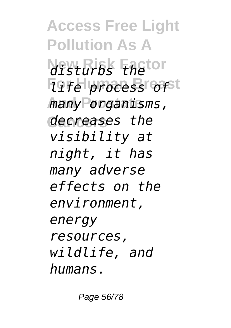**Access Free Light Pollution As A New Risk Factor** *disturbs the life process of* **And Prostate** *many organisms,* **Cancers** *decreases the visibility at night, it has many adverse effects on the environment, energy resources, wildlife, and humans.*

Page 56/78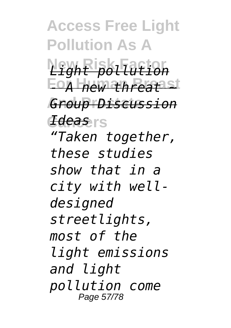**Access Free Light Pollution As A New Risk Factor** *Light pollution* **For Human Breast** *- A new threat ~* **And Prostate** *Group Discussion* **Cancers** *Ideas "Taken together, these studies show that in a city with welldesigned streetlights, most of the light emissions and light pollution come* Page 57/78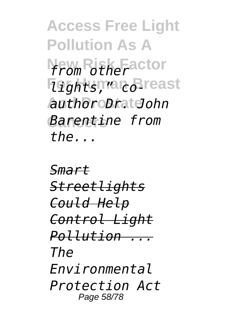**Access Free Light Pollution As A New Risk Factor** *from other* **For Human Breast** *lights," co-***And Prostate** *author Dr. John* **Cancers** *Barentine from the...*

*Smart Streetlights Could Help Control Light Pollution ... The Environmental Protection Act* Page 58/78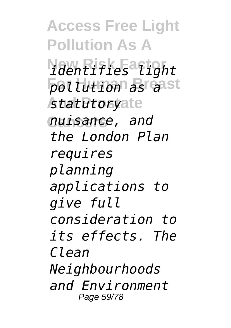**Access Free Light Pollution As A New Risk Factor** *identifies light* **For Human Breast** *pollution as a* **And Prostate** *statutory* **Cancers** *nuisance, and the London Plan requires planning applications to give full consideration to its effects. The Clean Neighbourhoods and Environment* Page 59/78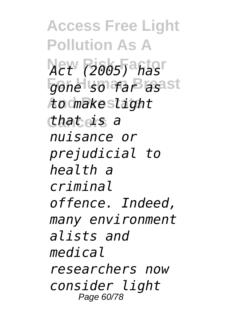**Access Free Light Pollution As A New Risk Factor** *Act (2005) has gone so far asast* **And Prostate** *to make light* **Cancers** *that is a nuisance or prejudicial to health a criminal offence. Indeed, many environment alists and medical researchers now consider light* Page 60/78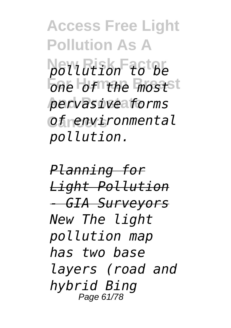**Access Free Light Pollution As A New Risk Factor** *pollution to be <u>One</u> of the most* **And Prostate** *pervasive forms* **Cancers** *of environmental pollution.*

*Planning for Light Pollution - GIA Surveyors New The light pollution map has two base layers (road and hybrid Bing* Page 61/78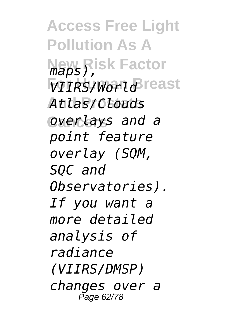**Access Free Light Pollution As A New Risk Factor** *maps),*  $VIIRS/World$  reast **And Prostate** *Atlas/Clouds* **Cancers** *overlays and a point feature overlay (SQM, SQC and Observatories). If you want a more detailed analysis of radiance (VIIRS/DMSP) changes over a* Page 62/78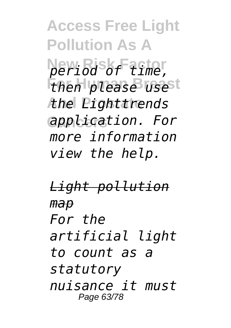**Access Free Light Pollution As A New Risk Factor** *period of time, then please use*<sup>t</sup> **And Prostate** *the Lighttrends* **Cancers** *application. For more information view the help.*

*Light pollution map For the artificial light to count as a statutory nuisance it must* Page 63/78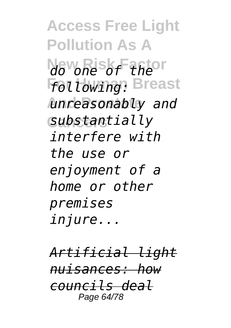**Access Free Light Pollution As A New Risk Factor** *do one of the following:* Breast **And Prostate** *unreasonably and* **Cancers** *substantially interfere with the use or enjoyment of a home or other premises injure...*

*Artificial light nuisances: how councils deal* Page 64/78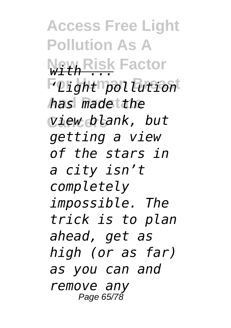**Access Free Light Pollution As A New Risk Factor** *with ...* **For Human Breast** *'Light pollution* **And Prostate** *has made the* **Cancers** *view blank, but getting a view of the stars in a city isn't completely impossible. The trick is to plan ahead, get as high (or as far) as you can and remove any* Page 65/78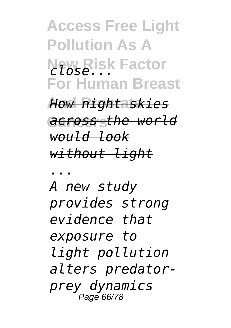**Access Free Light Pollution As A New Risk Factor** *close...* **For Human Breast**

**And Prostate** *How night skies* **Cancers** *across the world would look without light*

*...*

*A new study provides strong evidence that exposure to light pollution alters predatorprey dynamics* Page 66/78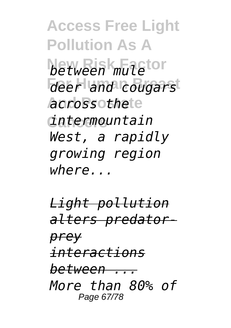**Access Free Light Pollution As A between mule**tor **For Human Breast** *deer and cougars* **And Prostate** *across the* **Cancers** *intermountain West, a rapidly growing region where...*

*Light pollution alters predatorprey interactions between ... More than 80% of* Page 67/78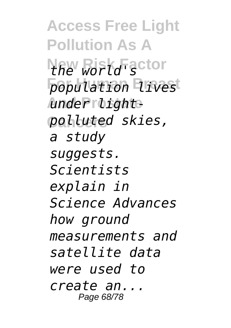**Access Free Light Pollution As A New Risk Factor** *the world's* **For Human Breast** *population lives* **And Prostate** *under light-***Cancers** *polluted skies, a study suggests. Scientists explain in Science Advances how ground measurements and satellite data were used to create an...* Page 68/78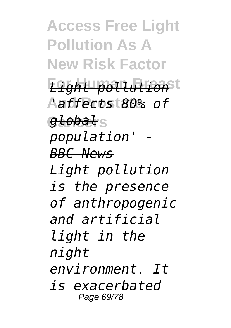**Access Free Light Pollution As A New Risk Factor**

**For Human Breast** *Light pollution* **And Prostate** *'affects 80% of*

**Cancers** *global population' - BBC News Light pollution is the presence of anthropogenic and artificial light in the night environment. It is exacerbated*

Page 69/78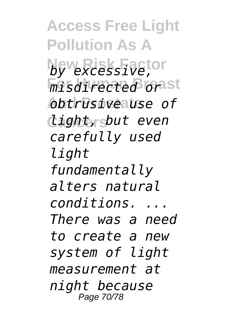**Access Free Light Pollution As A New Risk Factor** *by excessive, misdirected orast* **And Prostate** *obtrusive use of* **Cancers** *light, but even carefully used light fundamentally alters natural conditions. ... There was a need to create a new system of light measurement at night because* Page 70/78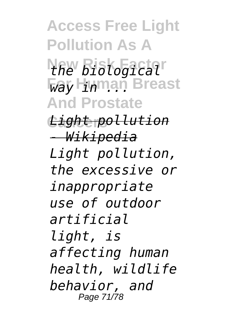**Access Free Light Pollution As A New Risk Factor** *the biological* **For Human Breast And Prostate Cancers** *Light pollution - Wikipedia Light pollution, the excessive or inappropriate use of outdoor artificial light, is affecting human health, wildlife behavior, and* Page 71/78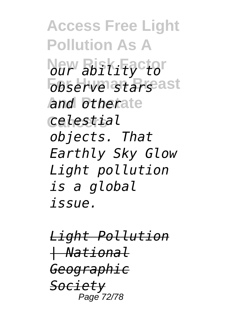**Access Free Light Pollution As A New Risk Factor** *our ability to observe starsast* **And Prostate** *and other* **Cancers** *celestial objects. That Earthly Sky Glow Light pollution is a global issue.*

*Light Pollution | National Geographic Society* Page 72/78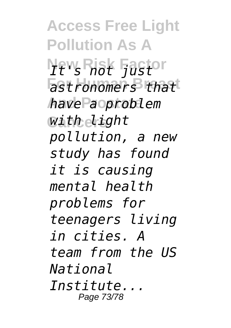**Access Free Light Pollution As A New Risk Factor** *It's not just* **For Human Breast** *astronomers that* **And Prostate** *have a problem* **Cancers** *with light pollution, a new study has found it is causing mental health problems for teenagers living in cities. A team from the US National Institute...* Page 73/78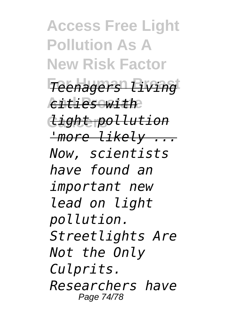**Access Free Light Pollution As A New Risk Factor For Human Breast** *Teenagers living* **And Prostate** *cities with* **Cancers** *light pollution 'more likely ... Now, scientists have found an important new lead on light pollution. Streetlights Are Not the Only Culprits. Researchers have* Page 74/78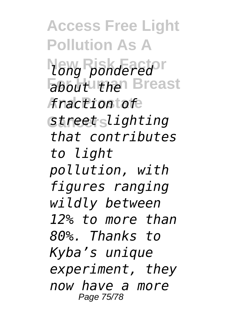**Access Free Light Pollution As A New Risk Factor** *long pondered* **Fabout then** Breast **And Prostate** *fraction of* **Cancers** *street lighting that contributes to light pollution, with figures ranging wildly between 12% to more than 80%. Thanks to Kyba's unique experiment, they now have a more* Page 75/78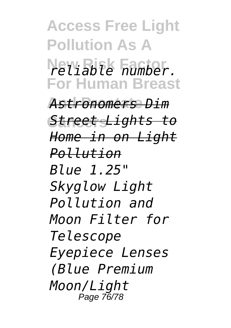**Access Free Light Pollution As A New Risk Factor** *reliable number.* **For Human Breast And Prostate** *Astronomers Dim* **Cancers** *Street Lights to Home in on Light Pollution Blue 1.25" Skyglow Light Pollution and Moon Filter for Telescope Eyepiece Lenses (Blue Premium Moon/Light* Page 76/78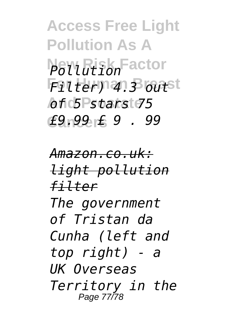**Access Free Light Pollution As A New Risk Factor** *Pollution* **For Human Breast** *Filter) 4.3 out* **And Prostate** *of 5 stars 75* **Cancers** *£9.99 £ 9 . 99*

*Amazon.co.uk: light pollution filter The government of Tristan da Cunha (left and top right) - a UK Overseas Territory in the* Page 77/78